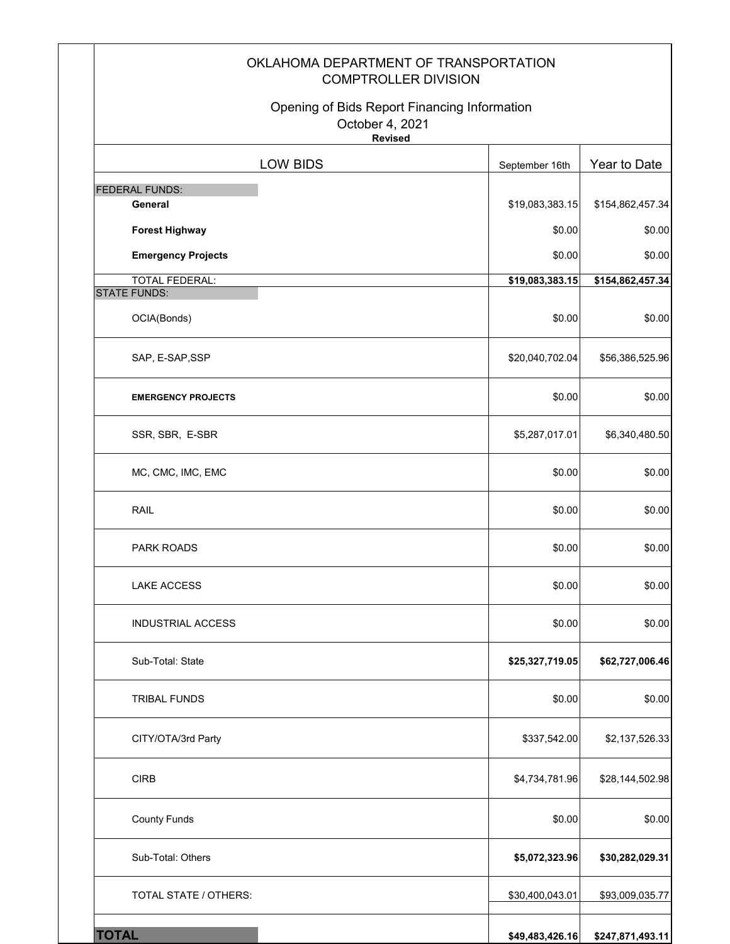|                                                                                   | OKLAHOMA DEPARTMENT OF TRANSPORTATION<br><b>COMPTROLLER DIVISION</b> |                            |  |  |
|-----------------------------------------------------------------------------------|----------------------------------------------------------------------|----------------------------|--|--|
| Opening of Bids Report Financing Information<br>October 4, 2021<br><b>Revised</b> |                                                                      |                            |  |  |
| <b>LOW BIDS</b>                                                                   | September 16th                                                       | Year to Date               |  |  |
| <b>FEDERAL FUNDS:</b>                                                             |                                                                      |                            |  |  |
| General                                                                           | \$19,083,383.15                                                      | \$154,862,457.34           |  |  |
| <b>Forest Highway</b>                                                             | \$0.00                                                               | \$0.00                     |  |  |
| <b>Emergency Projects</b><br><b>TOTAL FEDERAL:</b>                                | \$0.00<br>\$19,083,383.15                                            | \$0.00<br>\$154,862,457.34 |  |  |
| <b>STATE FUNDS:</b>                                                               |                                                                      |                            |  |  |
| OCIA(Bonds)                                                                       | \$0.00                                                               | \$0.00                     |  |  |
| SAP, E-SAP, SSP                                                                   | \$20,040,702.04                                                      | \$56,386,525.96            |  |  |
| <b>EMERGENCY PROJECTS</b>                                                         | \$0.00                                                               | \$0.00                     |  |  |
| SSR, SBR, E-SBR                                                                   | \$5,287,017.01                                                       | \$6,340,480.50             |  |  |
| MC, CMC, IMC, EMC                                                                 | \$0.00                                                               | \$0.00                     |  |  |
| <b>RAIL</b>                                                                       | \$0.00                                                               | \$0.00                     |  |  |
| <b>PARK ROADS</b>                                                                 | \$0.00                                                               | \$0.00                     |  |  |
| <b>LAKE ACCESS</b>                                                                | \$0.00                                                               | \$0.00                     |  |  |
| <b>INDUSTRIAL ACCESS</b>                                                          | \$0.00                                                               | \$0.00                     |  |  |
| Sub-Total: State                                                                  | \$25,327,719.05                                                      | \$62,727,006.46            |  |  |
| <b>TRIBAL FUNDS</b>                                                               | \$0.00                                                               | \$0.00                     |  |  |
| CITY/OTA/3rd Party                                                                | \$337,542.00                                                         | \$2,137,526.33             |  |  |
| CIRB                                                                              | \$4,734,781.96                                                       | \$28,144,502.98            |  |  |
| <b>County Funds</b>                                                               | \$0.00                                                               | \$0.00                     |  |  |
| Sub-Total: Others                                                                 | \$5,072,323.96                                                       | \$30,282,029.31            |  |  |
| TOTAL STATE / OTHERS:                                                             | \$30,400,043.01                                                      | \$93,009,035.77            |  |  |
| <b>TOTAL</b>                                                                      | \$49,483,426.16                                                      | \$247,871,493.11           |  |  |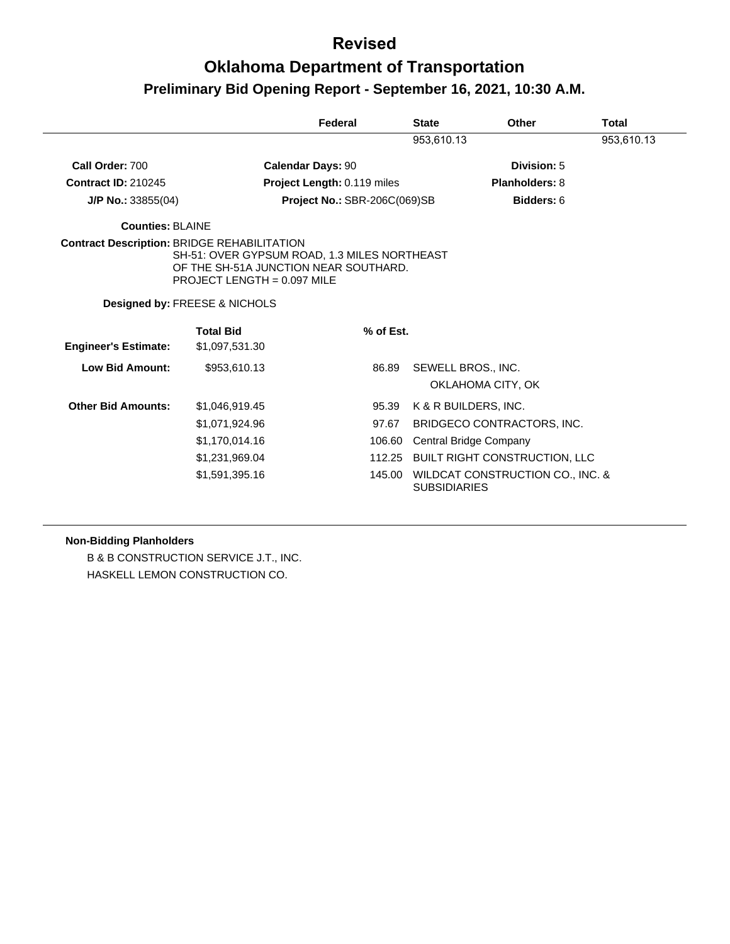## **Oklahoma Department of Transportation Preliminary Bid Opening Report - September 16, 2021, 10:30 A.M.**

|                             |                                                                                                                                                                              | Federal                      |           | <b>State</b>         | Other                                | <b>Total</b> |
|-----------------------------|------------------------------------------------------------------------------------------------------------------------------------------------------------------------------|------------------------------|-----------|----------------------|--------------------------------------|--------------|
|                             |                                                                                                                                                                              |                              |           | 953,610.13           |                                      | 953,610.13   |
| Call Order: 700             | <b>Calendar Days: 90</b>                                                                                                                                                     |                              |           |                      | Division: 5                          |              |
| <b>Contract ID: 210245</b>  |                                                                                                                                                                              | Project Length: 0.119 miles  |           |                      | Planholders: 8                       |              |
| J/P No.: $33855(04)$        |                                                                                                                                                                              | Project No.: SBR-206C(069)SB |           |                      | Bidders: 6                           |              |
| <b>Counties: BLAINE</b>     |                                                                                                                                                                              |                              |           |                      |                                      |              |
|                             | <b>Contract Description: BRIDGE REHABILITATION</b><br>SH-51: OVER GYPSUM ROAD, 1.3 MILES NORTHEAST<br>OF THE SH-51A JUNCTION NEAR SOUTHARD.<br>PROJECT LENGTH = $0.097$ MILE |                              |           |                      |                                      |              |
|                             | Designed by: FREESE & NICHOLS                                                                                                                                                |                              |           |                      |                                      |              |
|                             | <b>Total Bid</b>                                                                                                                                                             |                              | % of Est. |                      |                                      |              |
| <b>Engineer's Estimate:</b> | \$1,097,531.30                                                                                                                                                               |                              |           |                      |                                      |              |
| Low Bid Amount:             | \$953,610.13                                                                                                                                                                 |                              | 86.89     | SEWELL BROS., INC.   |                                      |              |
|                             |                                                                                                                                                                              |                              |           |                      | OKLAHOMA CITY, OK                    |              |
| <b>Other Bid Amounts:</b>   | \$1,046,919.45                                                                                                                                                               |                              | 95.39     | K & R BUILDERS, INC. |                                      |              |
|                             | \$1,071,924.96                                                                                                                                                               |                              | 97.67     |                      | BRIDGECO CONTRACTORS, INC.           |              |
|                             | \$1,170,014.16                                                                                                                                                               |                              | 106.60    |                      | Central Bridge Company               |              |
|                             | \$1,231,969.04                                                                                                                                                               |                              |           |                      | 112.25 BUILT RIGHT CONSTRUCTION, LLC |              |
|                             | \$1,591,395.16                                                                                                                                                               |                              | 145.00    | <b>SUBSIDIARIES</b>  | WILDCAT CONSTRUCTION CO., INC. &     |              |

#### **Non-Bidding Planholders**

B & B CONSTRUCTION SERVICE J.T., INC. HASKELL LEMON CONSTRUCTION CO.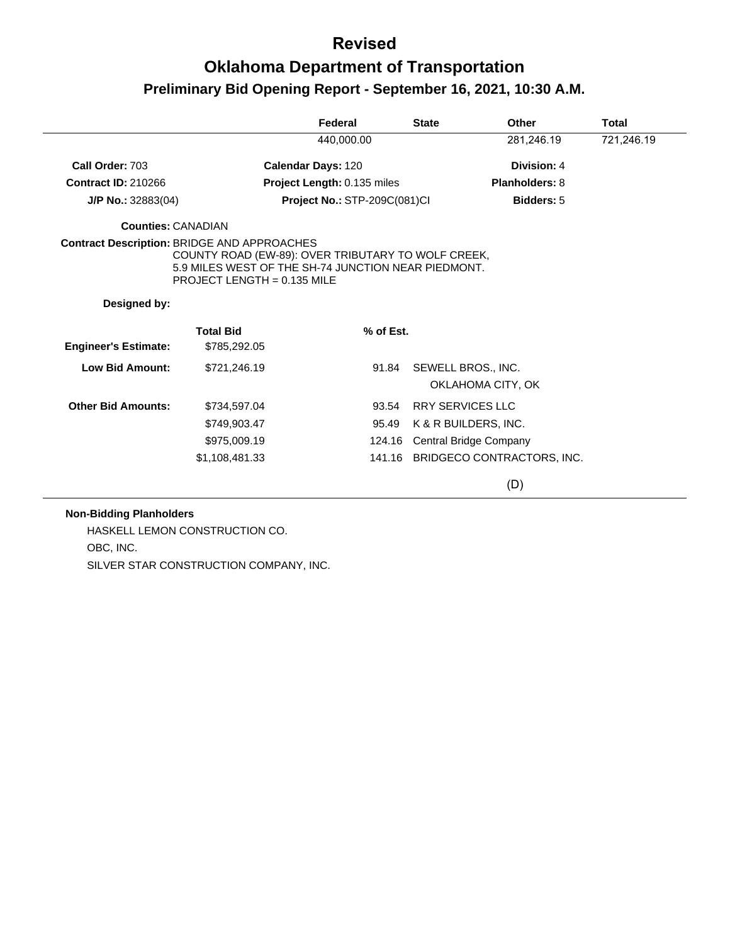## **Oklahoma Department of Transportation Preliminary Bid Opening Report - September 16, 2021, 10:30 A.M.**

|                                                    |                                                                                                                                            | Federal                      | <b>State</b> | Other                                   | <b>Total</b> |
|----------------------------------------------------|--------------------------------------------------------------------------------------------------------------------------------------------|------------------------------|--------------|-----------------------------------------|--------------|
|                                                    |                                                                                                                                            | 440,000.00                   |              | 281,246.19                              | 721,246.19   |
| Call Order: 703                                    |                                                                                                                                            | <b>Calendar Days: 120</b>    |              | Division: 4                             |              |
| <b>Contract ID: 210266</b>                         |                                                                                                                                            | Project Length: 0.135 miles  |              | Planholders: 8                          |              |
| $J/P$ No.: 32883(04)                               |                                                                                                                                            | Project No.: STP-209C(081)Cl |              | <b>Bidders: 5</b>                       |              |
| <b>Counties: CANADIAN</b>                          |                                                                                                                                            |                              |              |                                         |              |
| <b>Contract Description: BRIDGE AND APPROACHES</b> | COUNTY ROAD (EW-89): OVER TRIBUTARY TO WOLF CREEK,<br>5.9 MILES WEST OF THE SH-74 JUNCTION NEAR PIEDMONT.<br>PROJECT LENGTH = $0.135$ MILE |                              |              |                                         |              |
| Designed by:                                       |                                                                                                                                            |                              |              |                                         |              |
| <b>Engineer's Estimate:</b>                        | <b>Total Bid</b><br>\$785,292.05                                                                                                           | % of Est.                    |              |                                         |              |
| <b>Low Bid Amount:</b>                             | \$721,246.19                                                                                                                               | 91.84                        |              | SEWELL BROS., INC.<br>OKLAHOMA CITY, OK |              |
| <b>Other Bid Amounts:</b>                          | \$734,597.04                                                                                                                               | 93.54                        |              | <b>RRY SERVICES LLC</b>                 |              |
|                                                    | \$749,903.47                                                                                                                               | 95.49                        |              | K & R BUILDERS, INC.                    |              |
|                                                    | \$975,009.19                                                                                                                               |                              |              | 124.16 Central Bridge Company           |              |
|                                                    | \$1,108,481.33                                                                                                                             |                              |              | 141.16 BRIDGECO CONTRACTORS, INC.       |              |
|                                                    |                                                                                                                                            |                              |              | (D)                                     |              |

#### **Non-Bidding Planholders**

HASKELL LEMON CONSTRUCTION CO. OBC, INC. SILVER STAR CONSTRUCTION COMPANY, INC.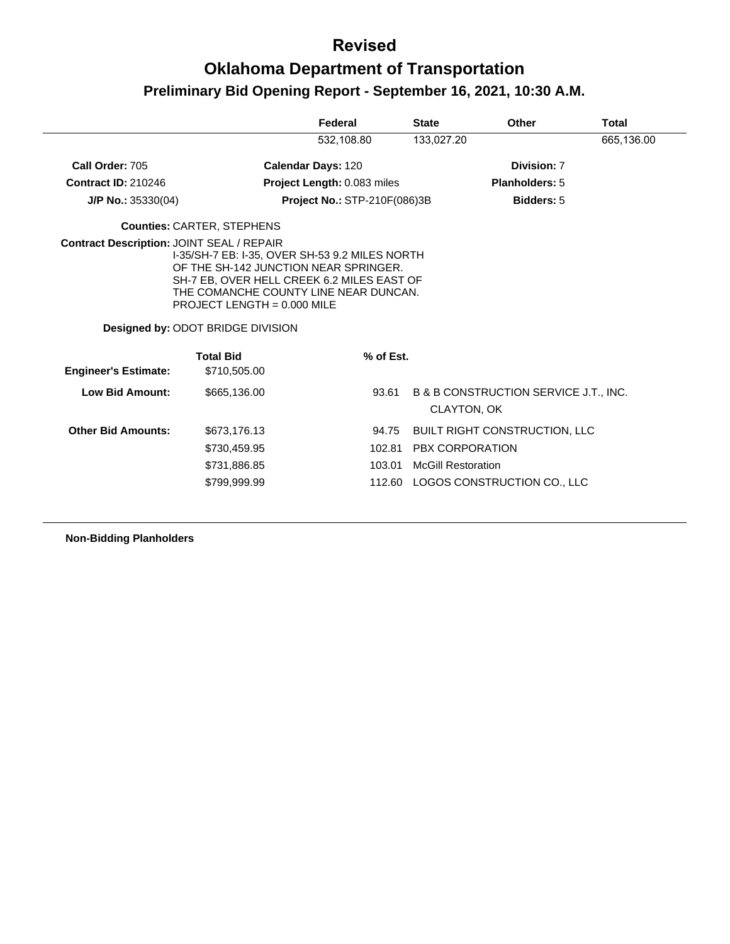# **Oklahoma Department of Transportation Preliminary Bid Opening Report - September 16, 2021, 10:30 A.M.**

|                             |                                                                                                                                                                                                                                                                                          | Federal                            | <b>State</b>              | Other                                                       | <b>Total</b> |
|-----------------------------|------------------------------------------------------------------------------------------------------------------------------------------------------------------------------------------------------------------------------------------------------------------------------------------|------------------------------------|---------------------------|-------------------------------------------------------------|--------------|
|                             |                                                                                                                                                                                                                                                                                          | 532,108.80                         | 133,027.20                |                                                             | 665,136.00   |
| Call Order: 705             |                                                                                                                                                                                                                                                                                          | <b>Calendar Days: 120</b>          |                           | Division: 7                                                 |              |
| <b>Contract ID: 210246</b>  |                                                                                                                                                                                                                                                                                          | <b>Project Length: 0.083 miles</b> |                           | <b>Planholders: 5</b>                                       |              |
| $J/P$ No.: 35330(04)        |                                                                                                                                                                                                                                                                                          | Project No.: STP-210F(086)3B       |                           | <b>Bidders: 5</b>                                           |              |
|                             | <b>Counties: CARTER, STEPHENS</b>                                                                                                                                                                                                                                                        |                                    |                           |                                                             |              |
| <b>Engineer's Estimate:</b> | I-35/SH-7 EB: I-35, OVER SH-53 9.2 MILES NORTH<br>OF THE SH-142 JUNCTION NEAR SPRINGER.<br>SH-7 EB, OVER HELL CREEK 6.2 MILES EAST OF<br>THE COMANCHE COUNTY LINE NEAR DUNCAN.<br>PROJECT LENGTH = $0.000$ MILE<br>Designed by: ODOT BRIDGE DIVISION<br><b>Total Bid</b><br>\$710,505,00 | % of Est.                          |                           |                                                             |              |
| <b>Low Bid Amount:</b>      | \$665,136.00                                                                                                                                                                                                                                                                             | 93.61                              |                           | B & B CONSTRUCTION SERVICE J.T., INC.<br><b>CLAYTON, OK</b> |              |
| <b>Other Bid Amounts:</b>   | \$673,176.13                                                                                                                                                                                                                                                                             | 94.75                              |                           | <b>BUILT RIGHT CONSTRUCTION, LLC</b>                        |              |
|                             | \$730,459.95                                                                                                                                                                                                                                                                             | 102.81                             |                           | PBX CORPORATION                                             |              |
|                             | \$731,886.85                                                                                                                                                                                                                                                                             | 103.01                             | <b>McGill Restoration</b> |                                                             |              |
|                             | \$799,999.99                                                                                                                                                                                                                                                                             | 112.60                             |                           | LOGOS CONSTRUCTION CO., LLC                                 |              |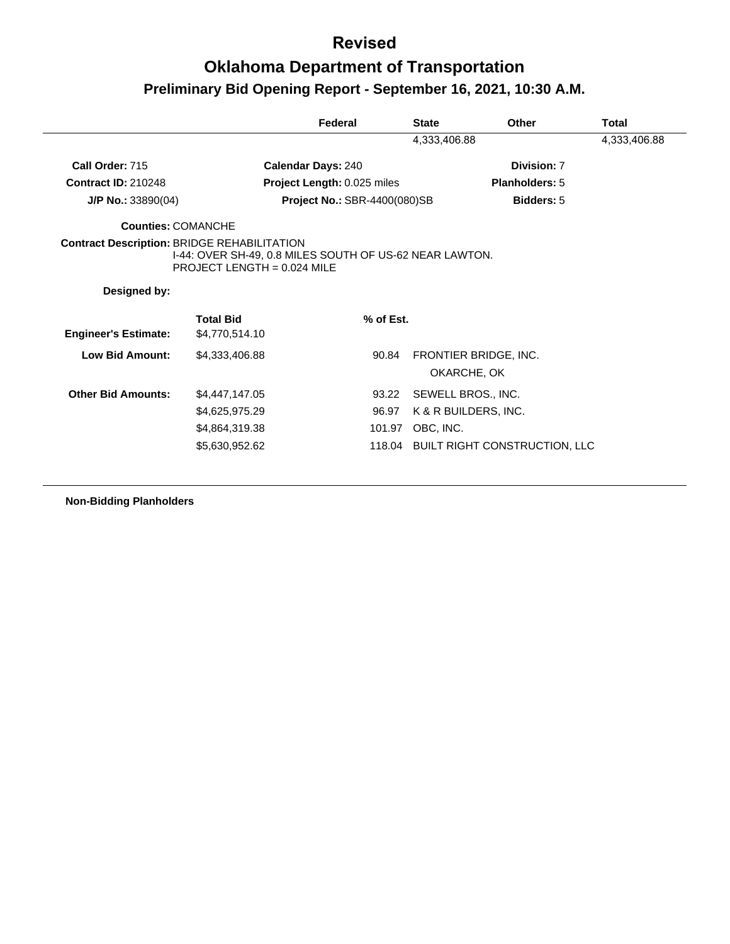# **Oklahoma Department of Transportation Preliminary Bid Opening Report - September 16, 2021, 10:30 A.M.**

|                                                    |                                                                                          | Federal                             | <b>State</b>       | Other                 | Total        |
|----------------------------------------------------|------------------------------------------------------------------------------------------|-------------------------------------|--------------------|-----------------------|--------------|
|                                                    |                                                                                          |                                     | 4,333,406.88       |                       | 4,333,406.88 |
| Call Order: 715                                    |                                                                                          | <b>Calendar Days: 240</b>           |                    | Division: 7           |              |
| <b>Contract ID: 210248</b>                         |                                                                                          | Project Length: 0.025 miles         |                    | <b>Planholders: 5</b> |              |
| $J/P$ No.: 33890(04)                               |                                                                                          | <b>Project No.: SBR-4400(080)SB</b> |                    | <b>Bidders: 5</b>     |              |
| <b>Counties: COMANCHE</b>                          |                                                                                          |                                     |                    |                       |              |
| <b>Contract Description: BRIDGE REHABILITATION</b> | I-44: OVER SH-49, 0.8 MILES SOUTH OF US-62 NEAR LAWTON.<br>$PROJECT$ LENGTH = 0.024 MILE |                                     |                    |                       |              |
| Designed by:                                       |                                                                                          |                                     |                    |                       |              |
|                                                    |                                                                                          |                                     |                    |                       |              |
|                                                    | <b>Total Bid</b>                                                                         | % of Est.                           |                    |                       |              |
| <b>Engineer's Estimate:</b>                        | \$4,770,514.10                                                                           |                                     |                    |                       |              |
| <b>Low Bid Amount:</b>                             | \$4,333,406.88                                                                           | 90.84                               |                    | FRONTIER BRIDGE, INC. |              |
|                                                    |                                                                                          |                                     |                    | OKARCHE, OK           |              |
| <b>Other Bid Amounts:</b>                          | \$4,447,147.05                                                                           | 93.22                               | SEWELL BROS., INC. |                       |              |
|                                                    | \$4,625,975.29                                                                           | 96.97                               |                    | K & R BUILDERS, INC.  |              |
|                                                    | \$4,864,319.38                                                                           | 101.97                              | OBC, INC.          |                       |              |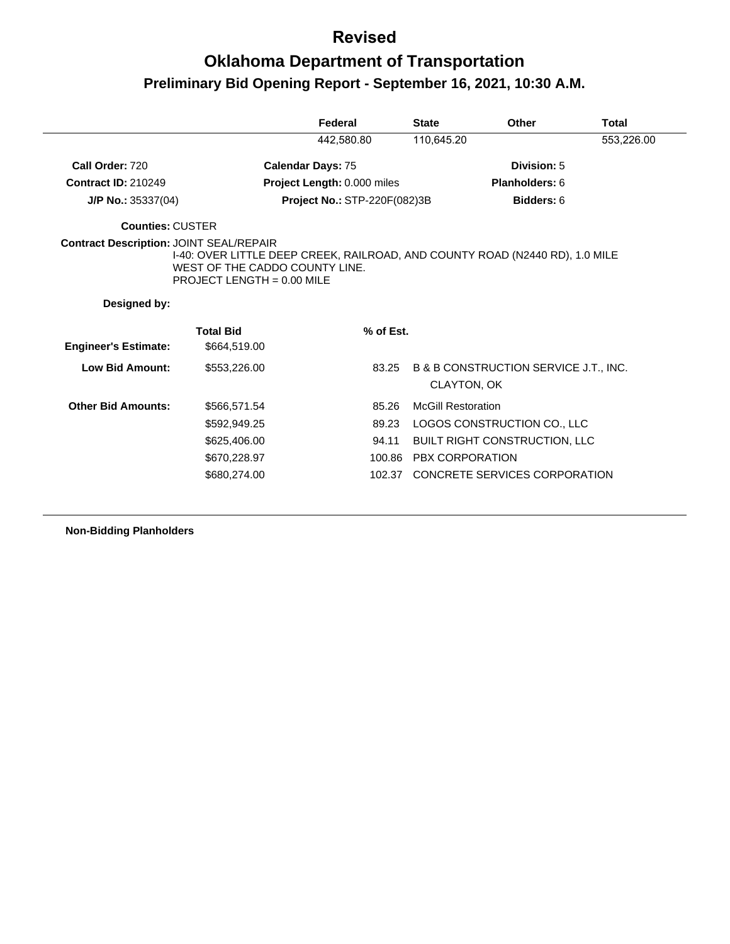## **Oklahoma Department of Transportation Preliminary Bid Opening Report - September 16, 2021, 10:30 A.M.**

|                                                |                                                                                                                                                | Federal                      | <b>State</b>              | Other                                 | <b>Total</b> |
|------------------------------------------------|------------------------------------------------------------------------------------------------------------------------------------------------|------------------------------|---------------------------|---------------------------------------|--------------|
|                                                |                                                                                                                                                | 442,580.80                   | 110,645.20                |                                       | 553,226.00   |
| Call Order: 720                                |                                                                                                                                                | <b>Calendar Days: 75</b>     |                           | Division: 5                           |              |
| <b>Contract ID: 210249</b>                     |                                                                                                                                                | Project Length: 0.000 miles  |                           | Planholders: 6                        |              |
| $J/P$ No.: 35337(04)                           |                                                                                                                                                | Project No.: STP-220F(082)3B |                           | Bidders: 6                            |              |
| <b>Counties: CUSTER</b>                        |                                                                                                                                                |                              |                           |                                       |              |
| <b>Contract Description: JOINT SEAL/REPAIR</b> | I-40: OVER LITTLE DEEP CREEK, RAILROAD, AND COUNTY ROAD (N2440 RD), 1.0 MILE<br>WEST OF THE CADDO COUNTY LINE.<br>PROJECT LENGTH = $0.00$ MILE |                              |                           |                                       |              |
|                                                |                                                                                                                                                |                              |                           |                                       |              |
| Designed by:                                   |                                                                                                                                                |                              |                           |                                       |              |
|                                                | <b>Total Bid</b>                                                                                                                               | % of Est.                    |                           |                                       |              |
| <b>Engineer's Estimate:</b>                    | \$664,519.00                                                                                                                                   |                              |                           |                                       |              |
| <b>Low Bid Amount:</b>                         | \$553,226.00                                                                                                                                   | 83.25                        | <b>CLAYTON, OK</b>        | B & B CONSTRUCTION SERVICE J.T., INC. |              |
| <b>Other Bid Amounts:</b>                      | \$566,571.54                                                                                                                                   | 85.26                        | <b>McGill Restoration</b> |                                       |              |
|                                                | \$592,949.25                                                                                                                                   | 89.23                        |                           | LOGOS CONSTRUCTION CO., LLC           |              |
|                                                | \$625,406.00                                                                                                                                   | 94.11                        |                           | <b>BUILT RIGHT CONSTRUCTION, LLC</b>  |              |
|                                                | \$670,228.97                                                                                                                                   |                              | 100.86 PBX CORPORATION    |                                       |              |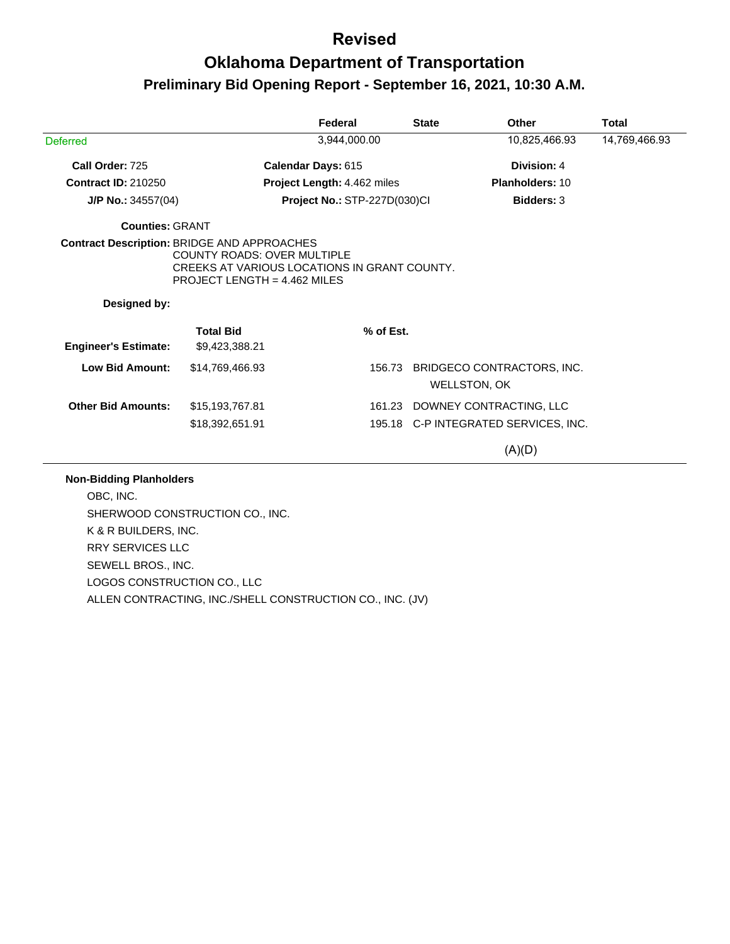## **Oklahoma Department of Transportation Preliminary Bid Opening Report - September 16, 2021, 10:30 A.M.**

|                                                    |                                                                                                                      | Federal                      | <b>State</b> | <b>Other</b>                         | <b>Total</b>  |
|----------------------------------------------------|----------------------------------------------------------------------------------------------------------------------|------------------------------|--------------|--------------------------------------|---------------|
| <b>Deferred</b>                                    |                                                                                                                      | 3,944,000.00                 |              | 10,825,466.93                        | 14,769,466.93 |
| Call Order: 725                                    |                                                                                                                      | Calendar Days: 615           |              | Division: 4                          |               |
| <b>Contract ID: 210250</b>                         |                                                                                                                      | Project Length: 4.462 miles  |              | Planholders: 10                      |               |
| J/P No.: $34557(04)$                               |                                                                                                                      | Project No.: STP-227D(030)Cl |              | <b>Bidders: 3</b>                    |               |
| <b>Counties: GRANT</b>                             |                                                                                                                      |                              |              |                                      |               |
| <b>Contract Description: BRIDGE AND APPROACHES</b> | <b>COUNTY ROADS: OVER MULTIPLE</b><br>CREEKS AT VARIOUS LOCATIONS IN GRANT COUNTY.<br>PROJECT LENGTH = $4.462$ MILES |                              |              |                                      |               |
| Designed by:                                       |                                                                                                                      |                              |              |                                      |               |
| <b>Engineer's Estimate:</b>                        | <b>Total Bid</b><br>\$9,423,388.21                                                                                   | % of Est.                    |              |                                      |               |
|                                                    | \$14,769,466.93                                                                                                      | 156.73                       |              | BRIDGECO CONTRACTORS, INC.           |               |
| <b>Low Bid Amount:</b>                             |                                                                                                                      |                              |              | <b>WELLSTON, OK</b>                  |               |
| <b>Other Bid Amounts:</b>                          | \$15,193,767.81                                                                                                      | 161.23                       |              | DOWNEY CONTRACTING, LLC              |               |
|                                                    | \$18,392,651.91                                                                                                      |                              |              | 195.18 C-P INTEGRATED SERVICES, INC. |               |

SHERWOOD CONSTRUCTION CO., INC. K & R BUILDERS, INC. RRY SERVICES LLC SEWELL BROS., INC. LOGOS CONSTRUCTION CO., LLC ALLEN CONTRACTING, INC./SHELL CONSTRUCTION CO., INC. (JV)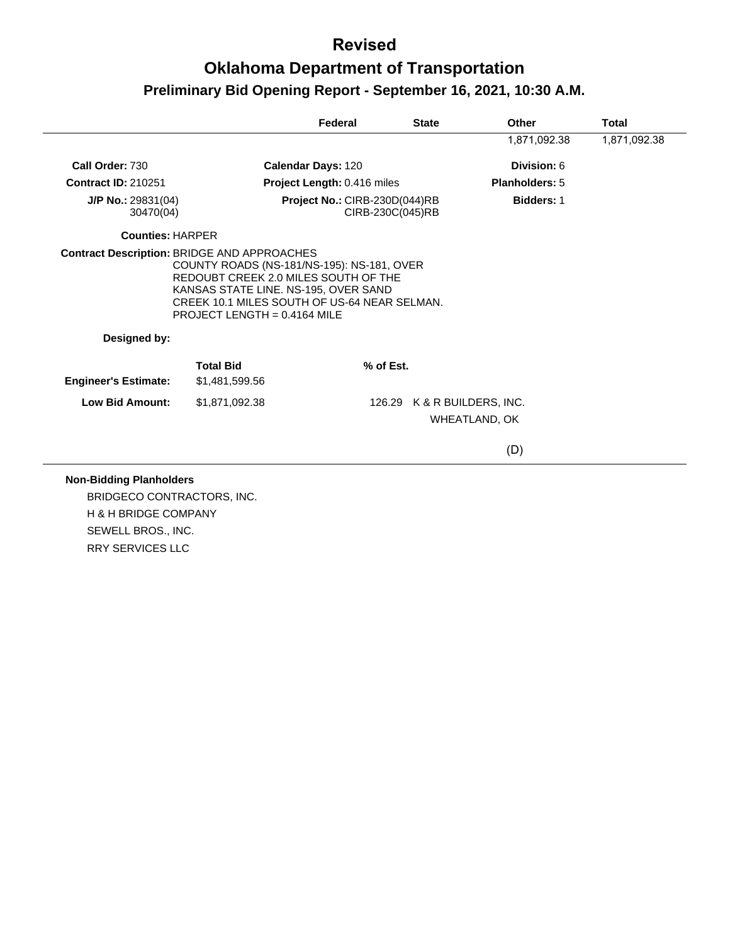## **Oklahoma Department of Transportation Preliminary Bid Opening Report - September 16, 2021, 10:30 A.M.**

|                                 |                                                                                                                                                                | Federal                       | <b>State</b>                | <b>Other</b>      | <b>Total</b> |
|---------------------------------|----------------------------------------------------------------------------------------------------------------------------------------------------------------|-------------------------------|-----------------------------|-------------------|--------------|
|                                 |                                                                                                                                                                |                               |                             | 1,871,092.38      | 1,871,092.38 |
| Call Order: 730                 |                                                                                                                                                                | Calendar Days: 120            |                             | Division: 6       |              |
| <b>Contract ID: 210251</b>      |                                                                                                                                                                | Project Length: 0.416 miles   |                             | Planholders: 5    |              |
| J/P No.: 29831(04)<br>30470(04) |                                                                                                                                                                | Project No.: CIRB-230D(044)RB | CIRB-230C(045)RB            | <b>Bidders: 1</b> |              |
| <b>Counties: HARPER</b>         |                                                                                                                                                                |                               |                             |                   |              |
|                                 | COUNTY ROADS (NS-181/NS-195): NS-181, OVER                                                                                                                     |                               |                             |                   |              |
|                                 | REDOUBT CREEK 2.0 MILES SOUTH OF THE<br>KANSAS STATE LINE. NS-195, OVER SAND<br>CREEK 10.1 MILES SOUTH OF US-64 NEAR SELMAN.<br>PROJECT LENGTH = $0.4164$ MILE |                               |                             |                   |              |
| Designed by:                    |                                                                                                                                                                |                               |                             |                   |              |
| <b>Engineer's Estimate:</b>     | <b>Total Bid</b><br>\$1,481,599.56                                                                                                                             |                               | % of Est.                   |                   |              |
| <b>Low Bid Amount:</b>          | \$1,871,092.38                                                                                                                                                 |                               | 126.29 K & R BUILDERS, INC. |                   |              |
|                                 |                                                                                                                                                                |                               |                             | WHEATLAND, OK     |              |

#### **Non-Bidding Planholders**

BRIDGECO CONTRACTORS, INC. H & H BRIDGE COMPANY SEWELL BROS., INC. RRY SERVICES LLC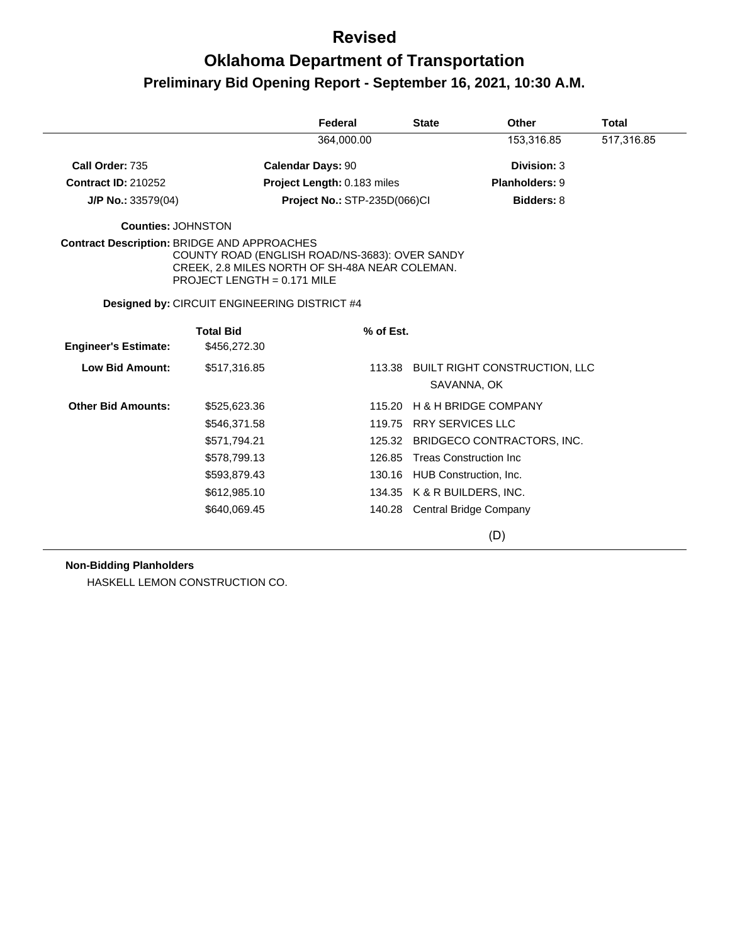# **Oklahoma Department of Transportation Preliminary Bid Opening Report - September 16, 2021, 10:30 A.M.**

|                                                    |                                                                                                                                   | Federal                      | <b>State</b> | <b>Other</b>                                        |             | <b>Total</b> |
|----------------------------------------------------|-----------------------------------------------------------------------------------------------------------------------------------|------------------------------|--------------|-----------------------------------------------------|-------------|--------------|
|                                                    |                                                                                                                                   | 364.000.00                   |              |                                                     | 153,316.85  | 517,316.85   |
| Call Order: 735                                    |                                                                                                                                   | <b>Calendar Days: 90</b>     |              |                                                     | Division: 3 |              |
| <b>Contract ID: 210252</b>                         |                                                                                                                                   | Project Length: 0.183 miles  |              | Planholders: 9                                      |             |              |
| $J/P$ No.: 33579(04)                               |                                                                                                                                   | Project No.: STP-235D(066)CI |              |                                                     | Bidders: 8  |              |
| <b>Counties: JOHNSTON</b>                          |                                                                                                                                   |                              |              |                                                     |             |              |
| <b>Contract Description: BRIDGE AND APPROACHES</b> | COUNTY ROAD (ENGLISH ROAD/NS-3683): OVER SANDY<br>CREEK, 2.8 MILES NORTH OF SH-48A NEAR COLEMAN.<br>PROJECT LENGTH = $0.171$ MILE |                              |              |                                                     |             |              |
|                                                    | Designed by: CIRCUIT ENGINEERING DISTRICT #4                                                                                      |                              |              |                                                     |             |              |
| <b>Engineer's Estimate:</b>                        | <b>Total Bid</b><br>\$456,272.30                                                                                                  | % of Est.                    |              |                                                     |             |              |
| <b>Low Bid Amount:</b>                             | \$517,316.85                                                                                                                      |                              | 113.38       | <b>BUILT RIGHT CONSTRUCTION, LLC</b><br>SAVANNA, OK |             |              |
| <b>Other Bid Amounts:</b>                          | \$525,623.36                                                                                                                      |                              | 115.20       | H & H BRIDGE COMPANY                                |             |              |
|                                                    | \$546,371.58                                                                                                                      |                              | 119.75       | <b>RRY SERVICES LLC</b>                             |             |              |
|                                                    | \$571,794.21                                                                                                                      |                              |              | 125.32 BRIDGECO CONTRACTORS, INC.                   |             |              |
|                                                    | \$578,799.13                                                                                                                      | 126.85                       |              | <b>Treas Construction Inc</b>                       |             |              |
|                                                    | \$593,879.43                                                                                                                      |                              |              | 130.16 HUB Construction, Inc.                       |             |              |
|                                                    | \$612,985.10                                                                                                                      |                              | 134.35       | K & R BUILDERS, INC.                                |             |              |
|                                                    | \$640,069.45                                                                                                                      |                              | 140.28       | Central Bridge Company                              |             |              |
|                                                    |                                                                                                                                   |                              |              | (D)                                                 |             |              |

#### **Non-Bidding Planholders**

HASKELL LEMON CONSTRUCTION CO.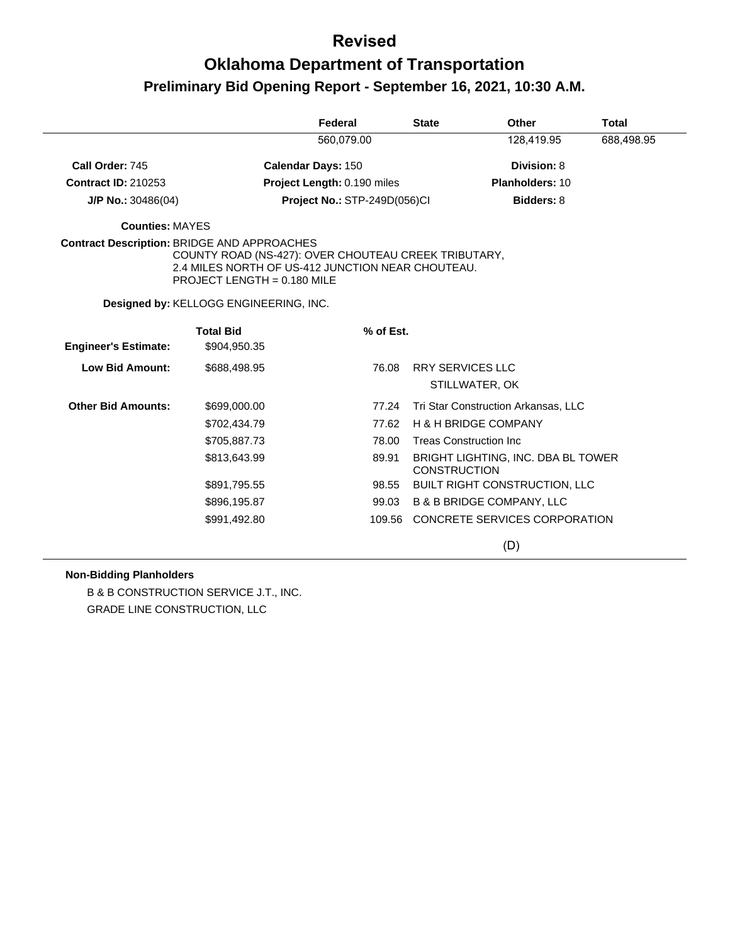# **Oklahoma Department of Transportation Preliminary Bid Opening Report - September 16, 2021, 10:30 A.M.**

|                                                    |                                                                                                                                                                                    | Federal                      | <b>State</b>        | <b>Other</b>                         | <b>Total</b> |
|----------------------------------------------------|------------------------------------------------------------------------------------------------------------------------------------------------------------------------------------|------------------------------|---------------------|--------------------------------------|--------------|
|                                                    |                                                                                                                                                                                    | 560,079.00                   |                     | 128,419.95                           | 688,498.95   |
| Call Order: 745                                    |                                                                                                                                                                                    | <b>Calendar Days: 150</b>    |                     | Division: 8                          |              |
| <b>Contract ID: 210253</b>                         |                                                                                                                                                                                    | Project Length: 0.190 miles  |                     | Planholders: 10                      |              |
| $J/P$ No.: 30486(04)                               |                                                                                                                                                                                    | Project No.: STP-249D(056)Cl |                     | <b>Bidders: 8</b>                    |              |
| <b>Counties: MAYES</b>                             |                                                                                                                                                                                    |                              |                     |                                      |              |
| <b>Contract Description: BRIDGE AND APPROACHES</b> | COUNTY ROAD (NS-427): OVER CHOUTEAU CREEK TRIBUTARY,<br>2.4 MILES NORTH OF US-412 JUNCTION NEAR CHOUTEAU.<br>PROJECT LENGTH = 0.180 MILE<br>Designed by: KELLOGG ENGINEERING, INC. |                              |                     |                                      |              |
|                                                    | <b>Total Bid</b>                                                                                                                                                                   | % of Est.                    |                     |                                      |              |
| <b>Engineer's Estimate:</b>                        | \$904,950.35                                                                                                                                                                       |                              |                     |                                      |              |
| <b>Low Bid Amount:</b>                             | \$688,498.95                                                                                                                                                                       | 76.08                        |                     | <b>RRY SERVICES LLC</b>              |              |
|                                                    |                                                                                                                                                                                    |                              |                     | STILLWATER, OK                       |              |
| <b>Other Bid Amounts:</b>                          | \$699,000.00                                                                                                                                                                       | 77.24                        |                     | Tri Star Construction Arkansas, LLC  |              |
|                                                    | \$702,434.79                                                                                                                                                                       | 77.62                        |                     | <b>H &amp; H BRIDGE COMPANY</b>      |              |
|                                                    | \$705,887.73                                                                                                                                                                       | 78.00                        |                     | <b>Treas Construction Inc.</b>       |              |
|                                                    | \$813,643.99                                                                                                                                                                       | 89.91                        | <b>CONSTRUCTION</b> | BRIGHT LIGHTING, INC. DBA BL TOWER   |              |
|                                                    | \$891,795.55                                                                                                                                                                       | 98.55                        |                     | BUILT RIGHT CONSTRUCTION, LLC        |              |
|                                                    | \$896,195.87                                                                                                                                                                       | 99.03                        |                     | <b>B &amp; B BRIDGE COMPANY, LLC</b> |              |
|                                                    | \$991,492.80                                                                                                                                                                       |                              |                     | 109.56 CONCRETE SERVICES CORPORATION |              |
|                                                    |                                                                                                                                                                                    |                              |                     | (D)                                  |              |

#### **Non-Bidding Planholders**

B & B CONSTRUCTION SERVICE J.T., INC. GRADE LINE CONSTRUCTION, LLC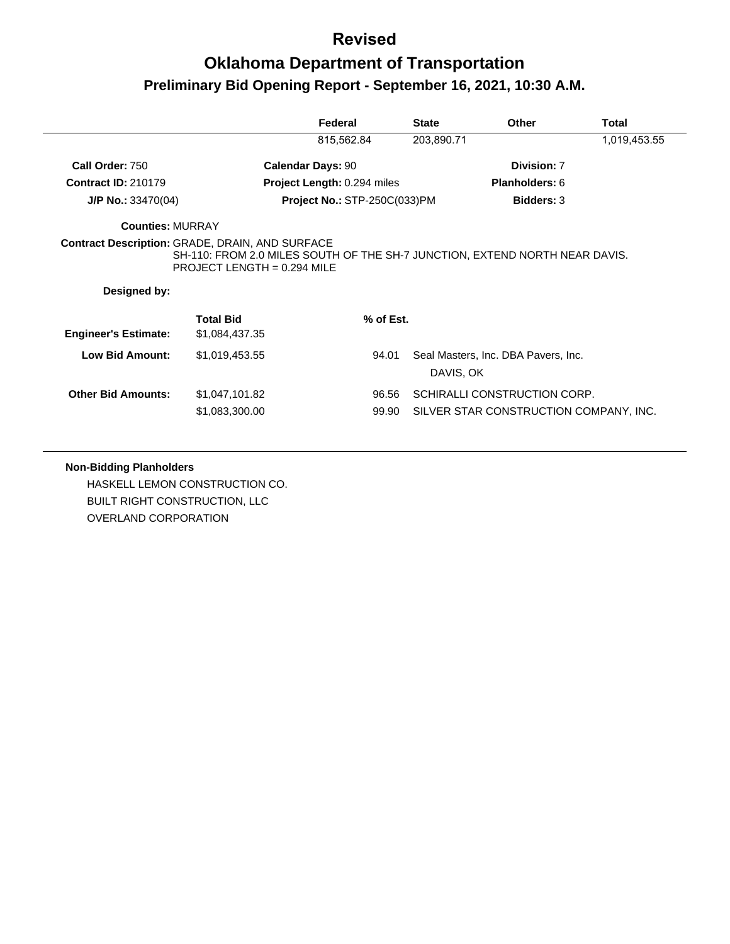# **Oklahoma Department of Transportation Preliminary Bid Opening Report - September 16, 2021, 10:30 A.M.**

|                                                        |                                                                                                            | Federal                             | <b>State</b> | <b>Other</b>                        | Total        |
|--------------------------------------------------------|------------------------------------------------------------------------------------------------------------|-------------------------------------|--------------|-------------------------------------|--------------|
|                                                        |                                                                                                            | 815,562.84                          | 203,890.71   |                                     | 1,019,453.55 |
| Call Order: 750                                        |                                                                                                            | <b>Calendar Days: 90</b>            |              | Division: 7                         |              |
| <b>Contract ID: 210179</b>                             |                                                                                                            | Project Length: 0.294 miles         |              | Planholders: 6                      |              |
| $J/P$ No.: 33470(04)                                   |                                                                                                            | <b>Project No.: STP-250C(033)PM</b> |              | <b>Bidders: 3</b>                   |              |
| <b>Counties: MURRAY</b>                                |                                                                                                            |                                     |              |                                     |              |
| <b>Contract Description: GRADE, DRAIN, AND SURFACE</b> | SH-110: FROM 2.0 MILES SOUTH OF THE SH-7 JUNCTION, EXTEND NORTH NEAR DAVIS.<br>PROJECT LENGTH = 0.294 MILE |                                     |              |                                     |              |
| Designed by:                                           |                                                                                                            |                                     |              |                                     |              |
|                                                        | <b>Total Bid</b>                                                                                           | % of Est.                           |              |                                     |              |
| <b>Engineer's Estimate:</b><br><b>Low Bid Amount:</b>  | \$1,084,437.35<br>\$1,019,453.55                                                                           | 94.01                               | DAVIS, OK    | Seal Masters, Inc. DBA Pavers, Inc. |              |
| <b>Other Bid Amounts:</b>                              | \$1,047,101.82                                                                                             | 96.56                               |              | SCHIRALLI CONSTRUCTION CORP.        |              |

#### **Non-Bidding Planholders**

HASKELL LEMON CONSTRUCTION CO. BUILT RIGHT CONSTRUCTION, LLC OVERLAND CORPORATION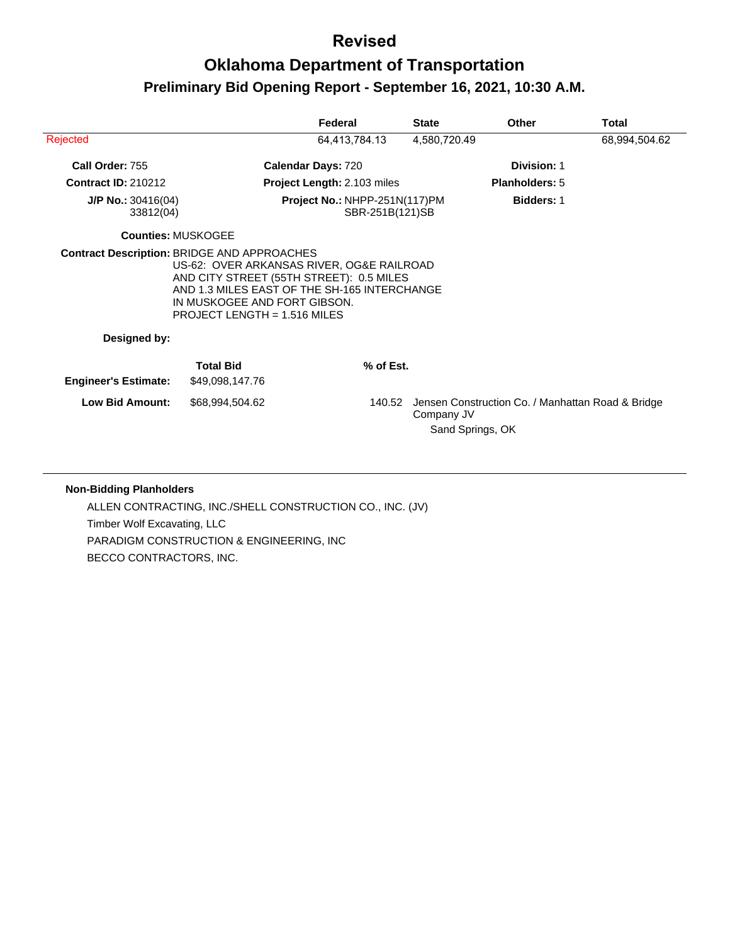## **Oklahoma Department of Transportation Preliminary Bid Opening Report - September 16, 2021, 10:30 A.M.**

|                                   |                                                                | Federal                                                                                                                               | <b>State</b>                   | <b>Other</b>                                      | Total         |
|-----------------------------------|----------------------------------------------------------------|---------------------------------------------------------------------------------------------------------------------------------------|--------------------------------|---------------------------------------------------|---------------|
| Rejected                          |                                                                | 64,413,784.13                                                                                                                         | 4,580,720.49                   |                                                   | 68,994,504.62 |
| Call Order: 755                   |                                                                | <b>Calendar Days: 720</b>                                                                                                             |                                | Division: 1                                       |               |
| <b>Contract ID: 210212</b>        |                                                                | <b>Project Length: 2.103 miles</b>                                                                                                    |                                | <b>Planholders: 5</b>                             |               |
| $J/P$ No.: 30416(04)<br>33812(04) |                                                                | Project No.: NHPP-251N(117)PM<br>SBR-251B(121)SB                                                                                      |                                | <b>Bidders: 1</b>                                 |               |
| <b>Counties: MUSKOGEE</b>         |                                                                |                                                                                                                                       |                                |                                                   |               |
|                                   | IN MUSKOGEE AND FORT GIBSON.<br>PROJECT LENGTH = $1.516$ MILES | US-62: OVER ARKANSAS RIVER, OG&E RAILROAD<br>AND CITY STREET (55TH STREET): 0.5 MILES<br>AND 1.3 MILES EAST OF THE SH-165 INTERCHANGE |                                |                                                   |               |
| Designed by:                      |                                                                |                                                                                                                                       |                                |                                                   |               |
| <b>Engineer's Estimate:</b>       | <b>Total Bid</b><br>\$49,098,147.76                            | % of Est.                                                                                                                             |                                |                                                   |               |
| <b>Low Bid Amount:</b>            | \$68,994,504.62                                                | 140.52                                                                                                                                | Company JV<br>Sand Springs, OK | Jensen Construction Co. / Manhattan Road & Bridge |               |

#### **Non-Bidding Planholders**

ALLEN CONTRACTING, INC./SHELL CONSTRUCTION CO., INC. (JV) Timber Wolf Excavating, LLC PARADIGM CONSTRUCTION & ENGINEERING, INC BECCO CONTRACTORS, INC.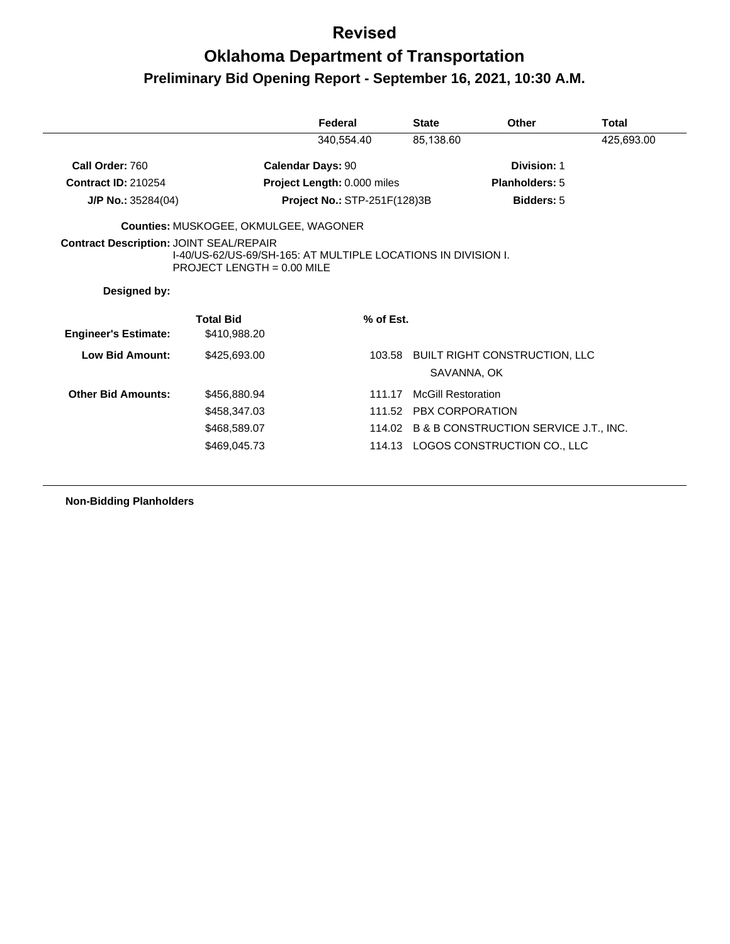|                                                |                                                                                             | Federal                             | <b>State</b>              | Other                                        | <b>Total</b> |
|------------------------------------------------|---------------------------------------------------------------------------------------------|-------------------------------------|---------------------------|----------------------------------------------|--------------|
|                                                |                                                                                             | 340,554.40                          | 85,138.60                 |                                              | 425,693.00   |
| Call Order: 760                                |                                                                                             | <b>Calendar Days: 90</b>            |                           | Division: 1                                  |              |
| <b>Contract ID: 210254</b>                     |                                                                                             | Project Length: 0.000 miles         |                           | <b>Planholders: 5</b>                        |              |
| $J/P$ No.: 35284(04)                           |                                                                                             | <b>Project No.: STP-251F(128)3B</b> |                           | <b>Bidders: 5</b>                            |              |
|                                                | <b>Counties: MUSKOGEE, OKMULGEE, WAGONER</b>                                                |                                     |                           |                                              |              |
| <b>Contract Description: JOINT SEAL/REPAIR</b> | I-40/US-62/US-69/SH-165: AT MULTIPLE LOCATIONS IN DIVISION I.<br>PROJECT LENGTH = 0.00 MILE |                                     |                           |                                              |              |
|                                                |                                                                                             |                                     |                           |                                              |              |
| Designed by:                                   |                                                                                             |                                     |                           |                                              |              |
|                                                | <b>Total Bid</b><br>\$410,988.20                                                            | % of Est.                           |                           |                                              |              |
| <b>Engineer's Estimate:</b><br>Low Bid Amount: | \$425,693.00                                                                                |                                     | SAVANNA, OK               | 103.58 BUILT RIGHT CONSTRUCTION, LLC         |              |
| <b>Other Bid Amounts:</b>                      | \$456,880.94                                                                                | 111.17                              | <b>McGill Restoration</b> |                                              |              |
|                                                | \$458,347.03                                                                                |                                     | 111.52 PBX CORPORATION    |                                              |              |
|                                                | \$468,589.07                                                                                |                                     |                           | 114.02 B & B CONSTRUCTION SERVICE J.T., INC. |              |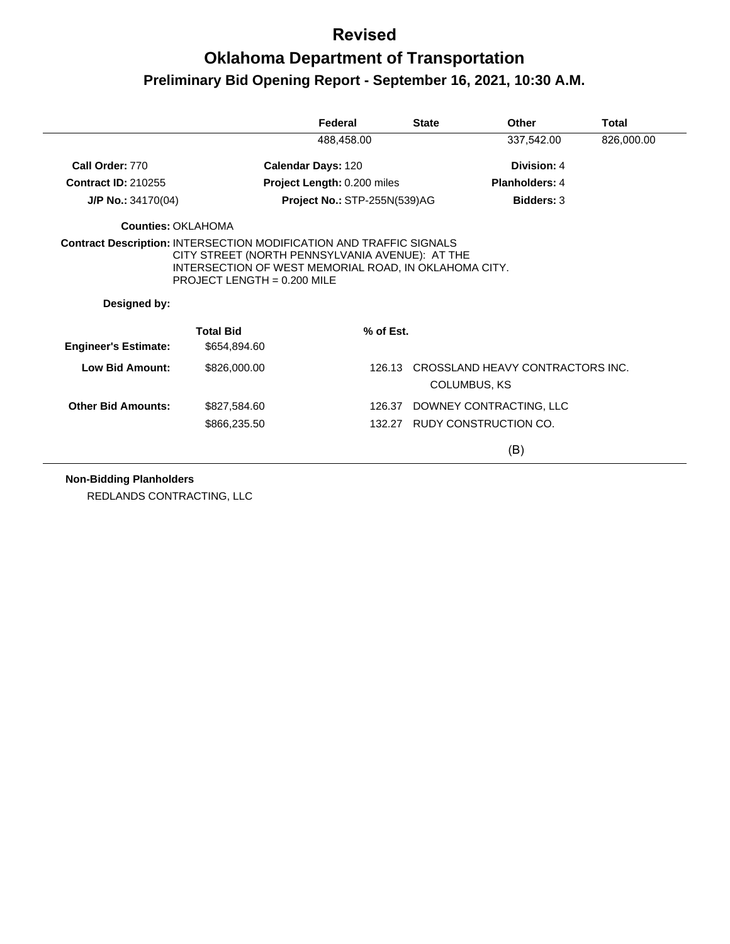# **Oklahoma Department of Transportation Preliminary Bid Opening Report - September 16, 2021, 10:30 A.M.**

|                             |                                                                                        | Federal                      | <b>State</b>        | Other                            | Total      |
|-----------------------------|----------------------------------------------------------------------------------------|------------------------------|---------------------|----------------------------------|------------|
|                             |                                                                                        | 488,458.00                   |                     | 337,542.00                       | 826,000.00 |
| Call Order: 770             |                                                                                        | <b>Calendar Days: 120</b>    |                     | Division: 4                      |            |
| <b>Contract ID: 210255</b>  |                                                                                        | Project Length: 0.200 miles  |                     | <b>Planholders: 4</b>            |            |
| $J/P$ No.: 34170(04)        |                                                                                        | Project No.: STP-255N(539)AG |                     | <b>Bidders: 3</b>                |            |
| Counties: OKLAHOMA          |                                                                                        |                              |                     |                                  |            |
| Designed by:                | INTERSECTION OF WEST MEMORIAL ROAD, IN OKLAHOMA CITY.<br>PROJECT LENGTH = $0.200$ MILE |                              |                     |                                  |            |
| <b>Engineer's Estimate:</b> | <b>Total Bid</b><br>\$654,894.60                                                       | % of Est.                    |                     |                                  |            |
| Low Bid Amount:             | \$826,000.00                                                                           | 126.13                       | <b>COLUMBUS, KS</b> | CROSSLAND HEAVY CONTRACTORS INC. |            |
| <b>Other Bid Amounts:</b>   | \$827,584.60                                                                           | 126.37                       |                     | DOWNEY CONTRACTING, LLC          |            |
|                             | \$866,235.50                                                                           |                              |                     |                                  |            |
|                             |                                                                                        |                              |                     | 132.27 RUDY CONSTRUCTION CO.     |            |

**Non-Bidding Planholders**

REDLANDS CONTRACTING, LLC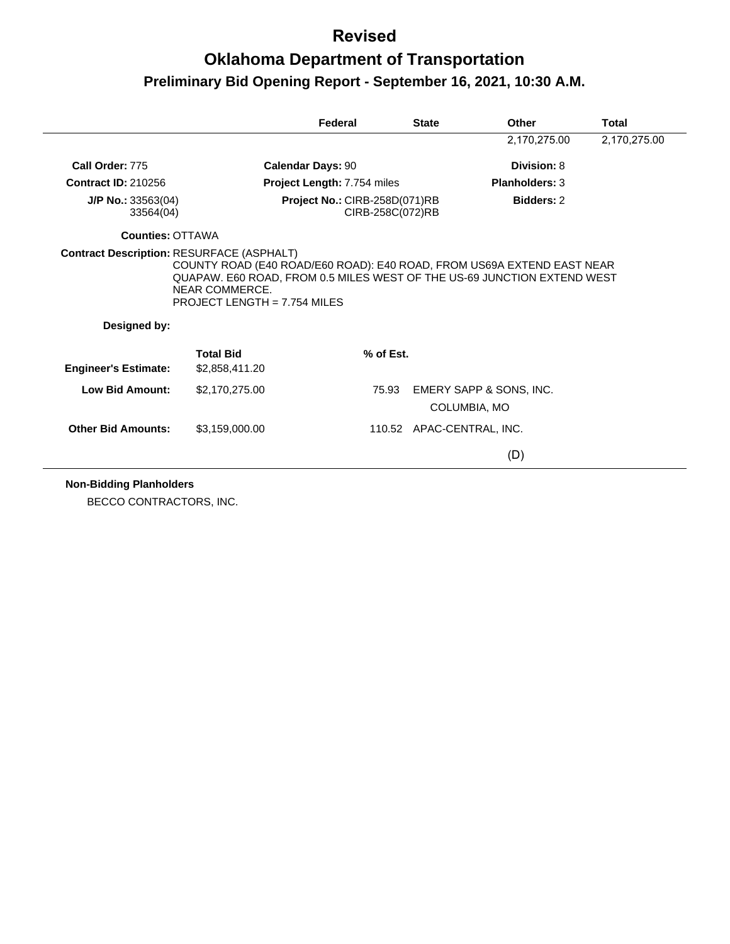# **Oklahoma Department of Transportation Preliminary Bid Opening Report - September 16, 2021, 10:30 A.M.**

|                                   |                                                                                                                                                                                                            | Federal                                           | <b>State</b> | Other                     | <b>Total</b> |
|-----------------------------------|------------------------------------------------------------------------------------------------------------------------------------------------------------------------------------------------------------|---------------------------------------------------|--------------|---------------------------|--------------|
|                                   |                                                                                                                                                                                                            |                                                   |              | 2,170,275.00              | 2,170,275.00 |
| Call Order: 775                   |                                                                                                                                                                                                            | <b>Calendar Days: 90</b>                          |              | Division: 8               |              |
| <b>Contract ID: 210256</b>        |                                                                                                                                                                                                            | Project Length: 7.754 miles                       |              | <b>Planholders: 3</b>     |              |
| $J/P$ No.: 33563(04)<br>33564(04) |                                                                                                                                                                                                            | Project No.: CIRB-258D(071)RB<br>CIRB-258C(072)RB |              | <b>Bidders: 2</b>         |              |
| <b>Counties: OTTAWA</b>           |                                                                                                                                                                                                            |                                                   |              |                           |              |
|                                   |                                                                                                                                                                                                            |                                                   |              |                           |              |
| Designed by:                      | COUNTY ROAD (E40 ROAD/E60 ROAD): E40 ROAD, FROM US69A EXTEND EAST NEAR<br>QUAPAW. E60 ROAD, FROM 0.5 MILES WEST OF THE US-69 JUNCTION EXTEND WEST<br>NEAR COMMERCE.<br><b>PROJECT LENGTH = 7.754 MILES</b> |                                                   |              |                           |              |
|                                   |                                                                                                                                                                                                            |                                                   |              |                           |              |
| <b>Engineer's Estimate:</b>       | <b>Total Bid</b><br>\$2,858,411.20                                                                                                                                                                         | % of Est.                                         |              |                           |              |
| <b>Low Bid Amount:</b>            | \$2,170,275.00                                                                                                                                                                                             | 75.93                                             |              | EMERY SAPP & SONS, INC.   |              |
|                                   |                                                                                                                                                                                                            |                                                   |              | COLUMBIA, MO              |              |
| <b>Other Bid Amounts:</b>         | \$3,159,000.00                                                                                                                                                                                             |                                                   |              | 110.52 APAC-CENTRAL, INC. |              |

**Non-Bidding Planholders**

BECCO CONTRACTORS, INC.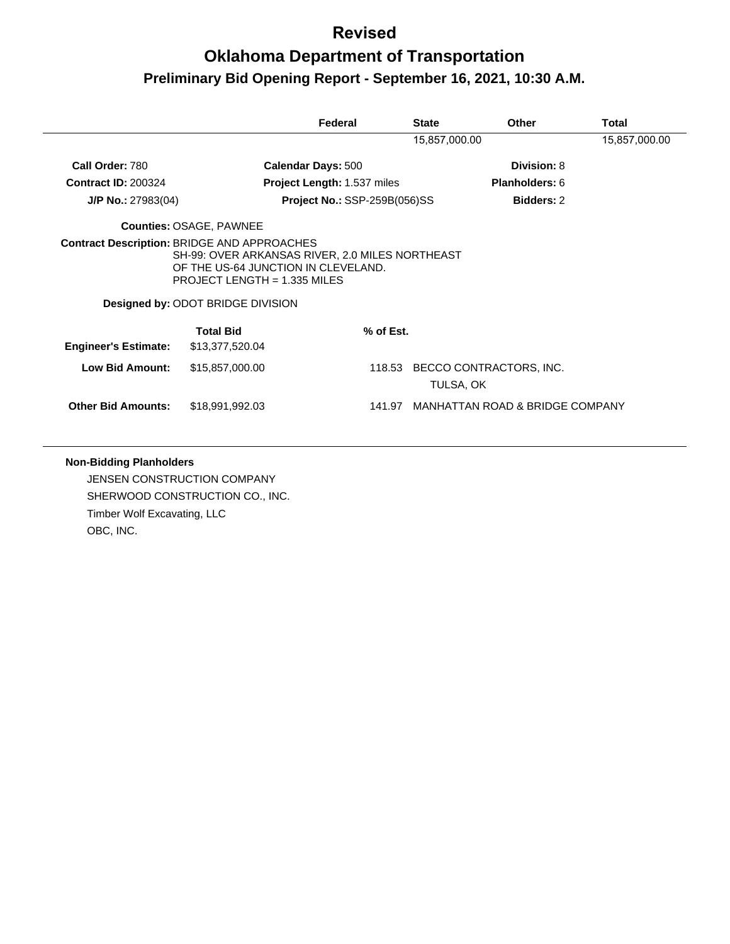|                             |                                                                                                                                                                                                                            | Federal                             | <b>State</b>  | <b>Other</b>                    | Total         |
|-----------------------------|----------------------------------------------------------------------------------------------------------------------------------------------------------------------------------------------------------------------------|-------------------------------------|---------------|---------------------------------|---------------|
|                             |                                                                                                                                                                                                                            |                                     | 15,857,000.00 |                                 | 15,857,000.00 |
| Call Order: 780             |                                                                                                                                                                                                                            | <b>Calendar Days: 500</b>           |               | Division: 8                     |               |
| <b>Contract ID: 200324</b>  |                                                                                                                                                                                                                            | <b>Project Length: 1.537 miles</b>  |               | <b>Planholders: 6</b>           |               |
| J/P No.: 27983(04)          |                                                                                                                                                                                                                            | <b>Project No.: SSP-259B(056)SS</b> |               | <b>Bidders: 2</b>               |               |
|                             | <b>Counties: OSAGE, PAWNEE</b>                                                                                                                                                                                             |                                     |               |                                 |               |
|                             | <b>Contract Description: BRIDGE AND APPROACHES</b><br>SH-99: OVER ARKANSAS RIVER, 2.0 MILES NORTHEAST<br>OF THE US-64 JUNCTION IN CLEVELAND.<br>PROJECT LENGTH = $1.335$ MILES<br><b>Designed by: ODOT BRIDGE DIVISION</b> |                                     |               |                                 |               |
|                             | <b>Total Bid</b>                                                                                                                                                                                                           | % of Est.                           |               |                                 |               |
| <b>Engineer's Estimate:</b> | \$13,377,520.04                                                                                                                                                                                                            |                                     |               |                                 |               |
| <b>Low Bid Amount:</b>      | \$15,857,000.00                                                                                                                                                                                                            | 118.53                              | TULSA, OK     | BECCO CONTRACTORS, INC.         |               |
| <b>Other Bid Amounts:</b>   | \$18,991,992.03                                                                                                                                                                                                            | 141.97                              |               | MANHATTAN ROAD & BRIDGE COMPANY |               |

#### **Non-Bidding Planholders**

JENSEN CONSTRUCTION COMPANY SHERWOOD CONSTRUCTION CO., INC. Timber Wolf Excavating, LLC OBC, INC.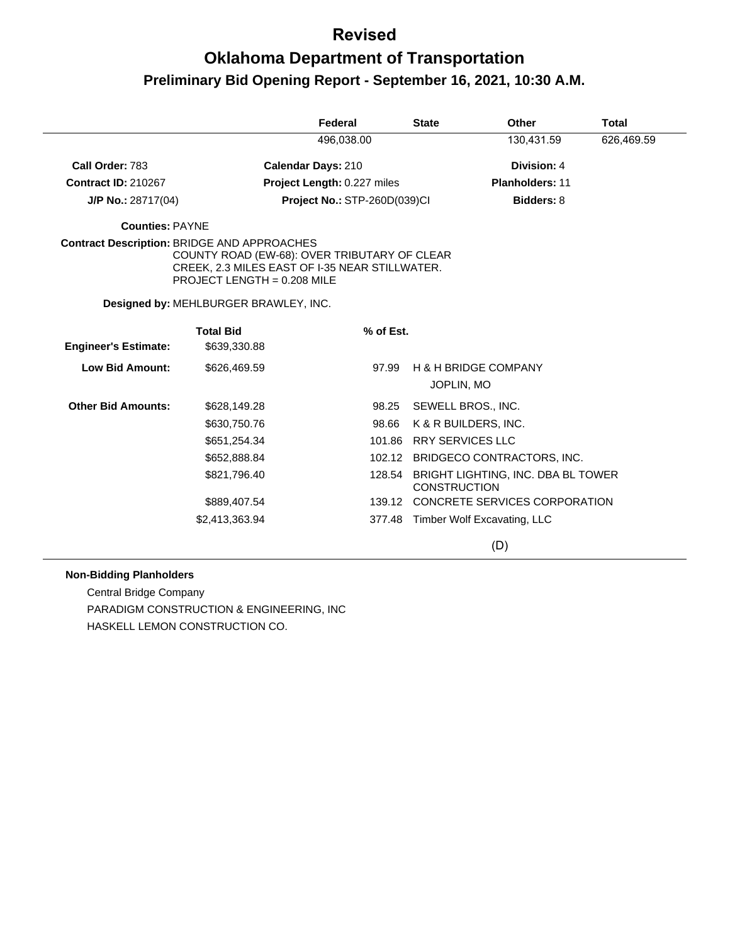# **Oklahoma Department of Transportation Preliminary Bid Opening Report - September 16, 2021, 10:30 A.M.**

|                                                    |                                                                                                                                                                        | Federal                      | <b>State</b>        | Other                              | <b>Total</b> |
|----------------------------------------------------|------------------------------------------------------------------------------------------------------------------------------------------------------------------------|------------------------------|---------------------|------------------------------------|--------------|
|                                                    |                                                                                                                                                                        | 496,038.00                   |                     | 130,431.59                         | 626,469.59   |
| Call Order: 783                                    |                                                                                                                                                                        | <b>Calendar Days: 210</b>    |                     | Division: 4                        |              |
| <b>Contract ID: 210267</b>                         |                                                                                                                                                                        | Project Length: 0.227 miles  |                     | <b>Planholders: 11</b>             |              |
| $J/P$ No.: 28717(04)                               |                                                                                                                                                                        | Project No.: STP-260D(039)Cl |                     | Bidders: 8                         |              |
| <b>Counties: PAYNE</b>                             |                                                                                                                                                                        |                              |                     |                                    |              |
| <b>Contract Description: BRIDGE AND APPROACHES</b> | COUNTY ROAD (EW-68): OVER TRIBUTARY OF CLEAR<br>CREEK, 2.3 MILES EAST OF I-35 NEAR STILLWATER.<br>PROJECT LENGTH = 0.208 MILE<br>Designed by: MEHLBURGER BRAWLEY, INC. |                              |                     |                                    |              |
|                                                    | <b>Total Bid</b>                                                                                                                                                       | % of Est.                    |                     |                                    |              |
| <b>Engineer's Estimate:</b>                        | \$639,330.88                                                                                                                                                           |                              |                     |                                    |              |
| <b>Low Bid Amount:</b>                             | \$626,469.59                                                                                                                                                           | 97.99                        |                     | <b>H &amp; H BRIDGE COMPANY</b>    |              |
|                                                    |                                                                                                                                                                        |                              |                     | JOPLIN, MO                         |              |
| <b>Other Bid Amounts:</b>                          | \$628,149.28                                                                                                                                                           | 98.25                        |                     | SEWELL BROS., INC.                 |              |
|                                                    | \$630,750.76                                                                                                                                                           | 98.66                        |                     | K & R BUILDERS, INC.               |              |
|                                                    | \$651,254.34                                                                                                                                                           | 101.86                       |                     | <b>RRY SERVICES LLC</b>            |              |
|                                                    | \$652,888.84                                                                                                                                                           |                              |                     | 102.12 BRIDGECO CONTRACTORS, INC.  |              |
|                                                    | \$821,796.40                                                                                                                                                           | 128.54                       | <b>CONSTRUCTION</b> | BRIGHT LIGHTING, INC. DBA BL TOWER |              |
|                                                    | \$889,407.54                                                                                                                                                           | 139.12                       |                     | CONCRETE SERVICES CORPORATION      |              |
|                                                    | \$2,413,363.94                                                                                                                                                         |                              |                     | 377.48 Timber Wolf Excavating, LLC |              |
|                                                    |                                                                                                                                                                        |                              |                     | (D)                                |              |

#### **Non-Bidding Planholders**

Central Bridge Company PARADIGM CONSTRUCTION & ENGINEERING, INC HASKELL LEMON CONSTRUCTION CO.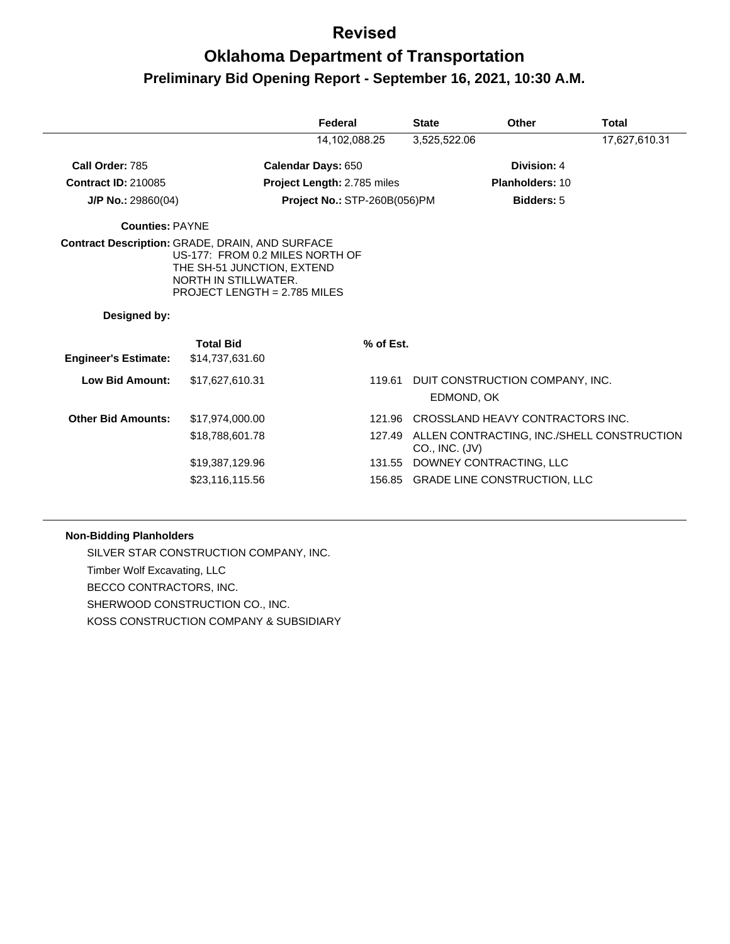| 14,102,088.25<br>3,525,522.06<br>17,627,610.31<br>Division: 4<br>Call Order: 785<br>Calendar Days: 650<br><b>Contract ID: 210085</b><br><b>Project Length: 2.785 miles</b><br><b>Planholders: 10</b><br><b>Project No.: STP-260B(056)PM</b><br><b>Bidders: 5</b><br>$J/P$ No.: 29860(04)<br><b>Counties: PAYNE</b><br><b>Contract Description: GRADE, DRAIN, AND SURFACE</b><br>US-177: FROM 0.2 MILES NORTH OF<br>THE SH-51 JUNCTION, EXTEND<br>NORTH IN STILLWATER.<br>PROJECT LENGTH = 2.785 MILES | Other<br>Total | <b>State</b> |  | Federal |  |
|-------------------------------------------------------------------------------------------------------------------------------------------------------------------------------------------------------------------------------------------------------------------------------------------------------------------------------------------------------------------------------------------------------------------------------------------------------------------------------------------------------|----------------|--------------|--|---------|--|
|                                                                                                                                                                                                                                                                                                                                                                                                                                                                                                       |                |              |  |         |  |
|                                                                                                                                                                                                                                                                                                                                                                                                                                                                                                       |                |              |  |         |  |
|                                                                                                                                                                                                                                                                                                                                                                                                                                                                                                       |                |              |  |         |  |
|                                                                                                                                                                                                                                                                                                                                                                                                                                                                                                       |                |              |  |         |  |
|                                                                                                                                                                                                                                                                                                                                                                                                                                                                                                       |                |              |  |         |  |
|                                                                                                                                                                                                                                                                                                                                                                                                                                                                                                       |                |              |  |         |  |
| Designed by:                                                                                                                                                                                                                                                                                                                                                                                                                                                                                          |                |              |  |         |  |
| <b>Total Bid</b><br>% of Est.<br><b>Engineer's Estimate:</b><br>\$14,737,631.60                                                                                                                                                                                                                                                                                                                                                                                                                       |                |              |  |         |  |
| <b>Low Bid Amount:</b><br>\$17,627,610.31<br>DUIT CONSTRUCTION COMPANY, INC.<br>119.61<br>EDMOND, OK                                                                                                                                                                                                                                                                                                                                                                                                  |                |              |  |         |  |
| <b>Other Bid Amounts:</b><br>CROSSLAND HEAVY CONTRACTORS INC.<br>\$17,974,000.00<br>121.96                                                                                                                                                                                                                                                                                                                                                                                                            |                |              |  |         |  |
| ALLEN CONTRACTING, INC./SHELL CONSTRUCTION<br>\$18,788,601.78<br>127.49<br>CO., INC. (JV)                                                                                                                                                                                                                                                                                                                                                                                                             |                |              |  |         |  |
| DOWNEY CONTRACTING, LLC<br>\$19,387,129.96<br>131.55                                                                                                                                                                                                                                                                                                                                                                                                                                                  |                |              |  |         |  |
| 156.85 GRADE LINE CONSTRUCTION, LLC<br>\$23,116,115.56                                                                                                                                                                                                                                                                                                                                                                                                                                                |                |              |  |         |  |

#### **Non-Bidding Planholders**

SILVER STAR CONSTRUCTION COMPANY, INC. Timber Wolf Excavating, LLC BECCO CONTRACTORS, INC. SHERWOOD CONSTRUCTION CO., INC. KOSS CONSTRUCTION COMPANY & SUBSIDIARY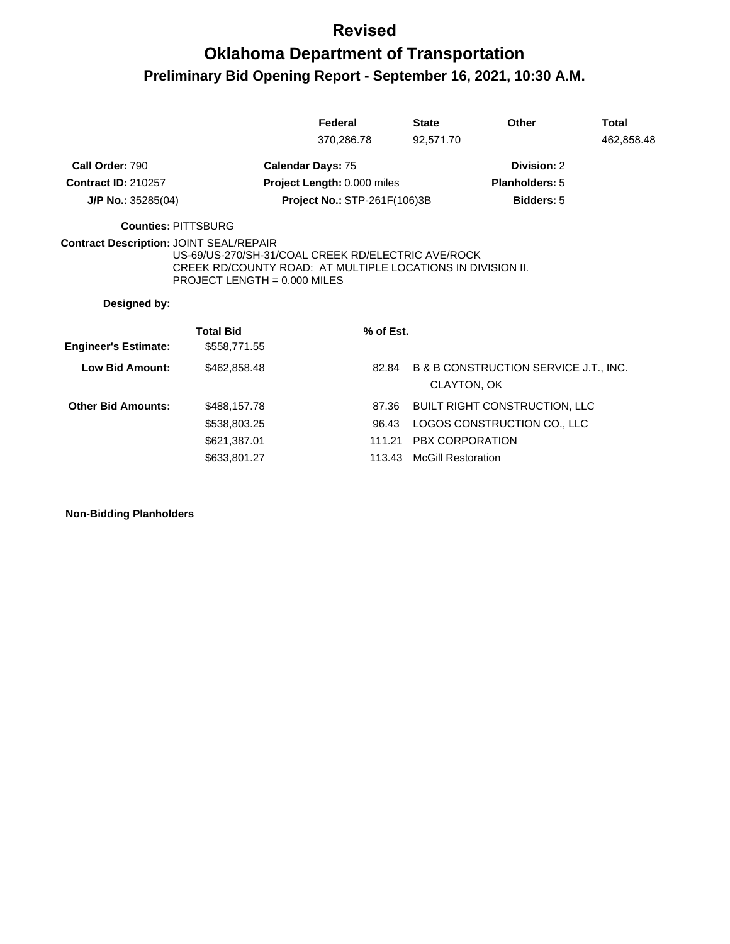|                             |                                                                                                                                                     | Federal                             | <b>State</b>    | Other                                 | <b>Total</b> |
|-----------------------------|-----------------------------------------------------------------------------------------------------------------------------------------------------|-------------------------------------|-----------------|---------------------------------------|--------------|
|                             |                                                                                                                                                     | 370,286.78                          | 92,571.70       |                                       | 462,858.48   |
| Call Order: 790             | <b>Calendar Days: 75</b>                                                                                                                            |                                     |                 | Division: 2                           |              |
| <b>Contract ID: 210257</b>  |                                                                                                                                                     | Project Length: 0.000 miles         |                 | Planholders: 5                        |              |
| $J/P$ No.: 35285(04)        |                                                                                                                                                     | <b>Project No.: STP-261F(106)3B</b> |                 | Bidders: 5                            |              |
| <b>Counties: PITTSBURG</b>  |                                                                                                                                                     |                                     |                 |                                       |              |
| Designed by:                | US-69/US-270/SH-31/COAL CREEK RD/ELECTRIC AVE/ROCK<br>CREEK RD/COUNTY ROAD: AT MULTIPLE LOCATIONS IN DIVISION II.<br>PROJECT LENGTH = $0.000$ MILES |                                     |                 |                                       |              |
|                             |                                                                                                                                                     |                                     |                 |                                       |              |
| <b>Engineer's Estimate:</b> | <b>Total Bid</b><br>\$558,771.55                                                                                                                    | % of Est.                           |                 |                                       |              |
| <b>Low Bid Amount:</b>      | \$462,858,48                                                                                                                                        | 82.84                               | CLAYTON, OK     | B & B CONSTRUCTION SERVICE J.T., INC. |              |
| <b>Other Bid Amounts:</b>   | \$488,157.78                                                                                                                                        | 87.36                               |                 | <b>BUILT RIGHT CONSTRUCTION, LLC</b>  |              |
|                             | \$538,803.25                                                                                                                                        | 96.43                               |                 | LOGOS CONSTRUCTION CO., LLC           |              |
|                             | \$621,387.01                                                                                                                                        | 111.21                              | PBX CORPORATION |                                       |              |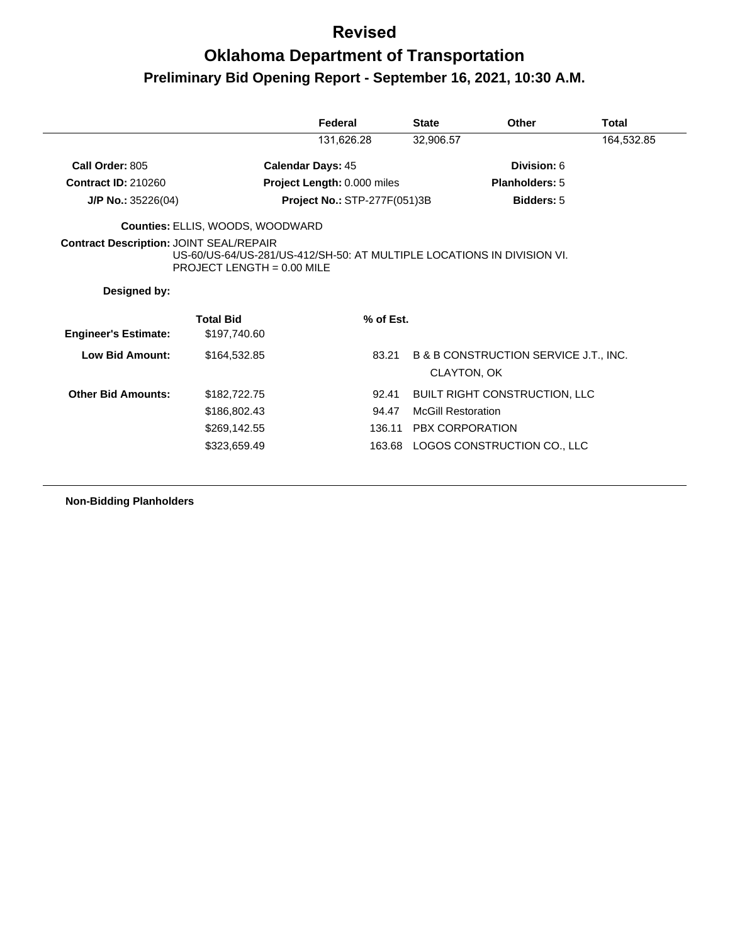|                                                |                                                                                                        | Federal                             | <b>State</b>              | Other                                 | Total      |
|------------------------------------------------|--------------------------------------------------------------------------------------------------------|-------------------------------------|---------------------------|---------------------------------------|------------|
|                                                |                                                                                                        | 131,626.28                          | 32,906.57                 |                                       | 164,532.85 |
| Call Order: 805                                | <b>Calendar Days: 45</b>                                                                               |                                     |                           | Division: 6                           |            |
| <b>Contract ID: 210260</b>                     |                                                                                                        | Project Length: 0.000 miles         |                           | <b>Planholders: 5</b>                 |            |
| $J/P$ No.: 35226(04)                           |                                                                                                        | <b>Project No.: STP-277F(051)3B</b> |                           | Bidders: 5                            |            |
|                                                | <b>Counties: ELLIS, WOODS, WOODWARD</b>                                                                |                                     |                           |                                       |            |
| <b>Contract Description: JOINT SEAL/REPAIR</b> | US-60/US-64/US-281/US-412/SH-50: AT MULTIPLE LOCATIONS IN DIVISION VI.<br>PROJECT LENGTH = $0.00$ MILE |                                     |                           |                                       |            |
|                                                |                                                                                                        |                                     |                           |                                       |            |
| Designed by:                                   |                                                                                                        |                                     |                           |                                       |            |
| <b>Engineer's Estimate:</b>                    | <b>Total Bid</b><br>\$197,740.60                                                                       | % of Est.                           |                           |                                       |            |
| Low Bid Amount:                                | \$164,532.85                                                                                           | 83.21                               | CLAYTON, OK               | B & B CONSTRUCTION SERVICE J.T., INC. |            |
| <b>Other Bid Amounts:</b>                      | \$182,722.75                                                                                           | 92.41                               |                           | <b>BUILT RIGHT CONSTRUCTION, LLC</b>  |            |
|                                                | \$186,802.43                                                                                           | 94.47                               | <b>McGill Restoration</b> |                                       |            |
|                                                | \$269,142.55                                                                                           |                                     | 136.11 PBX CORPORATION    |                                       |            |